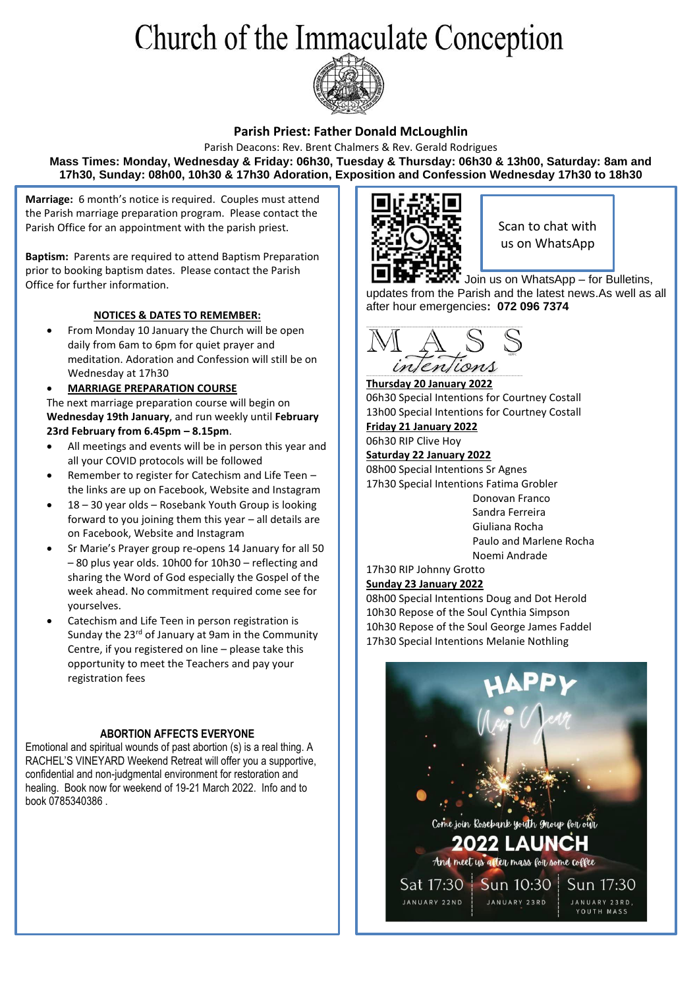# Church of the Immaculate Conception



### **Parish Priest: Father Donald McLoughlin**

Parish Deacons: Rev. Brent Chalmers & Rev. Gerald Rodrigues **Mass Times: Monday, Wednesday & Friday: 06h30, Tuesday & Thursday: 06h30 & 13h00, Saturday: 8am and 17h30, Sunday: 08h00, 10h30 & 17h30 Adoration, Exposition and Confession Wednesday 17h30 to 18h30**

**Marriage:** 6 month's notice is required. Couples must attend the Parish marriage preparation program. Please contact the Parish Office for an appointment with the parish priest.

**Baptism:** Parents are required to attend Baptism Preparation prior to booking baptism dates. Please contact the Parish Office for further information.

### **NOTICES & DATES TO REMEMBER:**

• From Monday 10 January the Church will be open daily from 6am to 6pm for quiet prayer and meditation. Adoration and Confession will still be on Wednesday at 17h30

### • **MARRIAGE PREPARATION COURSE**

The next marriage preparation course will begin on **Wednesday 19th January**, and run weekly until **February 23rd February from 6.45pm – 8.15pm**.

- All meetings and events will be in person this year and all your COVID protocols will be followed
- Remember to register for Catechism and Life Teen the links are up on Facebook, Website and Instagram
- 18 30 year olds Rosebank Youth Group is looking forward to you joining them this year – all details are on Facebook, Website and Instagram
- Sr Marie's Prayer group re-opens 14 January for all 50 – 80 plus year olds. 10h00 for 10h30 – reflecting and sharing the Word of God especially the Gospel of the week ahead. No commitment required come see for yourselves.
- Catechism and Life Teen in person registration is Sunday the 23<sup>rd</sup> of January at 9am in the Community Centre, if you registered on line – please take this opportunity to meet the Teachers and pay your registration fees

### **ABORTION AFFECTS EVERYONE**

Emotional and spiritual wounds of past abortion (s) is a real thing. A RACHEL'S VINEYARD Weekend Retreat will offer you a supportive, confidential and non-judgmental environment for restoration and healing. Book now for weekend of 19-21 March 2022. Info and to book 0785340386 .



Scan to chat with us on WhatsApp

Join us on WhatsApp – for Bulletins, updates from the Parish and the latest news.As well as all after hour emergencies**: 072 096 7374**



**Thursday 20 January 2022** 06h30 Special Intentions for Courtney Costall 13h00 Special Intentions for Courtney Costall **Friday 21 January 2022**

06h30 RIP Clive Hoy **Saturday 22 January 2022** 08h00 Special Intentions Sr Agnes 17h30 Special Intentions Fatima Grobler

 Donovan Franco Sandra Ferreira Giuliana Rocha Paulo and Marlene Rocha Noemi Andrade

17h30 RIP Johnny Grotto **Sunday 23 January 2022**

### 08h00 Special Intentions Doug and Dot Herold 10h30 Repose of the Soul Cynthia Simpson 10h30 Repose of the Soul George James Faddel 17h30 Special Intentions Melanie Nothling